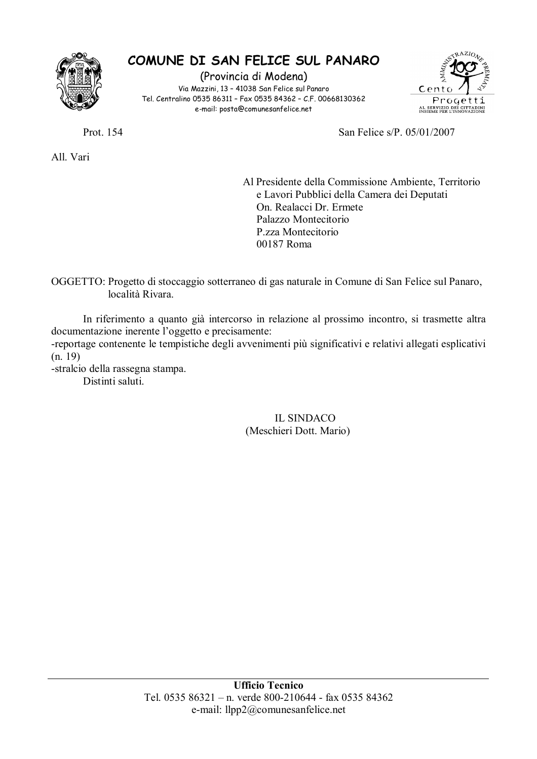

## COMUNE DI SAN FELICE SUL PANARO

(Provincia di Modena) Via Mazzini, 13 - 41038 San Felice sul Panaro Tel, Centralino 0535 86311 - Fax 0535 84362 - C.F. 00668130362 e-mail: posta@comunesanfelice.net



Prot. 154

All Vari

San Felice s/P. 05/01/2007

Al Presidente della Commissione Ambiente, Territorio e Lavori Pubblici della Camera dei Deputati On. Realacci Dr. Ermete Palazzo Montecitorio P.zza Montecitorio 00187 Roma

OGGETTO: Progetto di stoccaggio sotterraneo di gas naturale in Comune di San Felice sul Panaro, località Rivara

In riferimento a quanto già intercorso in relazione al prossimo incontro, si trasmette altra documentazione inerente l'oggetto e precisamente:

-reportage contenente le tempistiche degli avvenimenti più significativi e relativi allegati esplicativi  $(n. 19)$ 

-stralcio della rassegna stampa.

Distinti saluti.

## **IL SINDACO** (Meschieri Dott. Mario)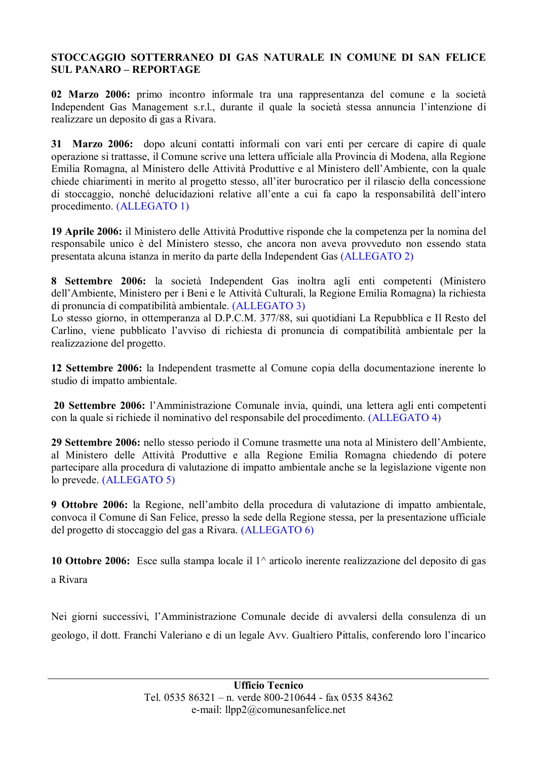## STOCCAGGIO SOTTERRANEO DI GAS NATURALE IN COMUNE DI SAN FELICE **SUL PANARO – REPORTAGE**

02 Marzo 2006: primo incontro informale tra una rappresentanza del comune e la società Independent Gas Management s.r.l., durante il quale la società stessa annuncia l'intenzione di realizzare un deposito di gas a Rivara.

31 Marzo 2006: dopo alcuni contatti informali con vari enti per cercare di capire di quale operazione si trattasse, il Comune scrive una lettera ufficiale alla Provincia di Modena, alla Regione Emilia Romagna, al Ministero delle Attività Produttive e al Ministero dell'Ambiente, con la quale chiede chiarimenti in merito al progetto stesso, all'iter burocratico per il rilascio della concessione di stoccaggio, nonché delucidazioni relative all'ente a cui fa capo la responsabilità dell'intero procedimento. (ALLEGATO 1)

19 Aprile 2006: il Ministero delle Attività Produttive risponde che la competenza per la nomina del responsabile unico è del Ministero stesso, che ancora non aveva provveduto non essendo stata presentata alcuna istanza in merito da parte della Independent Gas (ALLEGATO 2)

8 Settembre 2006: la società Independent Gas inoltra agli enti competenti (Ministero dell'Ambiente, Ministero per i Beni e le Attività Culturali, la Regione Emilia Romagna) la richiesta di pronuncia di compatibilità ambientale. (ALLEGATO 3)

Lo stesso giorno, in ottemperanza al D.P.C.M. 377/88, sui quotidiani La Repubblica e Il Resto del Carlino, viene pubblicato l'avviso di richiesta di pronuncia di compatibilità ambientale per la realizzazione del progetto.

12 Settembre 2006: la Independent trasmette al Comune copia della documentazione inerente lo studio di impatto ambientale.

20 Settembre 2006: l'Amministrazione Comunale invia, quindi, una lettera agli enti competenti con la quale si richiede il nominativo del responsabile del procedimento. (ALLEGATO 4)

29 Settembre 2006: nello stesso periodo il Comune trasmette una nota al Ministero dell'Ambiente. al Ministero delle Attività Produttive e alla Regione Emilia Romagna chiedendo di potere partecipare alla procedura di valutazione di impatto ambientale anche se la legislazione vigente non lo prevede. (ALLEGATO 5)

9 Ottobre 2006: la Regione, nell'ambito della procedura di valutazione di impatto ambientale, convoca il Comune di San Felice, presso la sede della Regione stessa, per la presentazione ufficiale del progetto di stoccaggio del gas a Rivara. (ALLEGATO 6)

10 Ottobre 2006: Esce sulla stampa locale il  $1^\wedge$  articolo inerente realizzazione del deposito di gas a Rivara

Nei giorni successivi, l'Amministrazione Comunale decide di avvalersi della consulenza di un geologo, il dott. Franchi Valeriano e di un legale Avv. Gualtiero Pittalis, conferendo loro l'incarico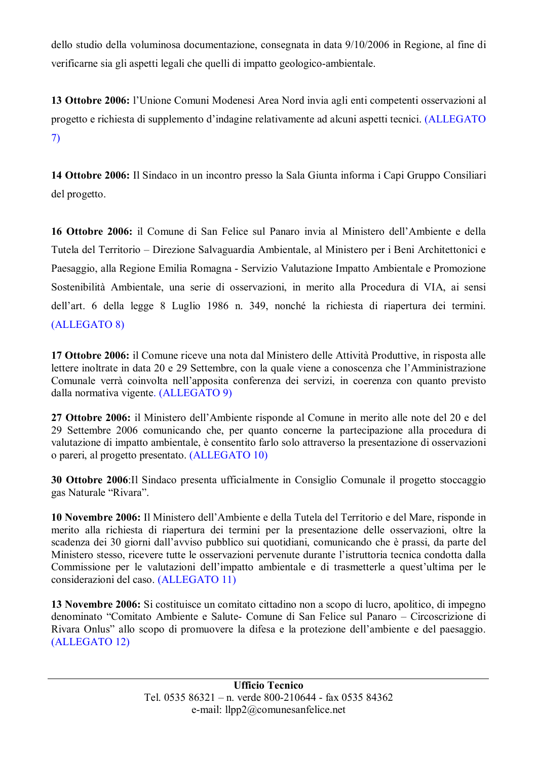dello studio della voluminosa documentazione, consegnata in data 9/10/2006 in Regione, al fine di verificarne sia gli aspetti legali che quelli di impatto geologico-ambientale.

13 Ottobre 2006: l'Unione Comuni Modenesi Area Nord invia agli enti competenti osservazioni al progetto e richiesta di supplemento d'indagine relativamente ad alcuni aspetti tecnici. (ALLEGATO  $\mathcal{L}$ 

14 Ottobre 2006: Il Sindaco in un incontro presso la Sala Giunta informa i Capi Gruppo Consiliari del progetto.

16 Ottobre 2006: il Comune di San Felice sul Panaro invia al Ministero dell'Ambiente e della Tutela del Territorio – Direzione Salvaguardia Ambientale, al Ministero per i Beni Architettonici e Paesaggio, alla Regione Emilia Romagna - Servizio Valutazione Impatto Ambientale e Promozione Sostenibilità Ambientale, una serie di osservazioni, in merito alla Procedura di VIA, ai sensi dell'art. 6 della legge 8 Luglio 1986 n. 349, nonché la richiesta di riapertura dei termini. (ALLEGATO 8)

17 Ottobre 2006: il Comune riceve una nota dal Ministero delle Attività Produttive, in risposta alle lettere inoltrate in data 20 e 29 Settembre, con la quale viene a conoscenza che l'Amministrazione Comunale verrà coinvolta nell'apposita conferenza dei servizi, in coerenza con quanto previsto dalla normativa vigente. (ALLEGATO 9)

27 Ottobre 2006: il Ministero dell'Ambiente risponde al Comune in merito alle note del 20 e del 29 Settembre 2006 comunicando che, per quanto concerne la partecipazione alla procedura di valutazione di impatto ambientale, è consentito farlo solo attraverso la presentazione di osservazioni o pareri, al progetto presentato. (ALLEGATO 10)

30 Ottobre 2006:Il Sindaco presenta ufficialmente in Consiglio Comunale il progetto stoccaggio gas Naturale "Rivara".

10 Novembre 2006: Il Ministero dell'Ambiente e della Tutela del Territorio e del Mare, risponde in merito alla richiesta di riapertura dei termini per la presentazione delle osservazioni, oltre la scadenza dei 30 giorni dall'avviso pubblico sui quotidiani, comunicando che è prassi, da parte del Ministero stesso, ricevere tutte le osservazioni pervenute durante l'istruttoria tecnica condotta dalla Commissione per le valutazioni dell'impatto ambientale e di trasmetterle a quest'ultima per le considerazioni del caso. (ALLEGATO 11)

13 Novembre 2006: Si costituisce un comitato cittadino non a scopo di lucro, apolitico, di impegno denominato "Comitato Ambiente e Salute- Comune di San Felice sul Panaro - Circoscrizione di Rivara Onlus" allo scopo di promuovere la difesa e la protezione dell'ambiente e del paesaggio. (ALLEGATO 12)